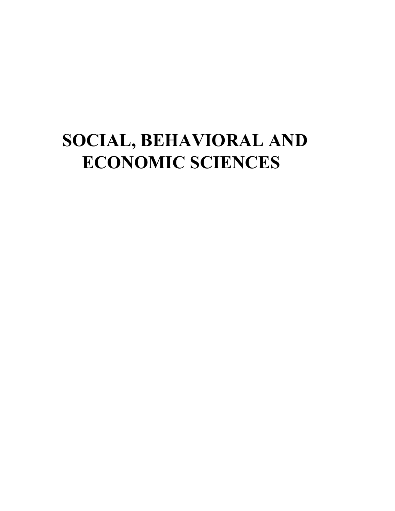# **SOCIAL, BEHAVIORAL AND ECONOMIC SCIENCES**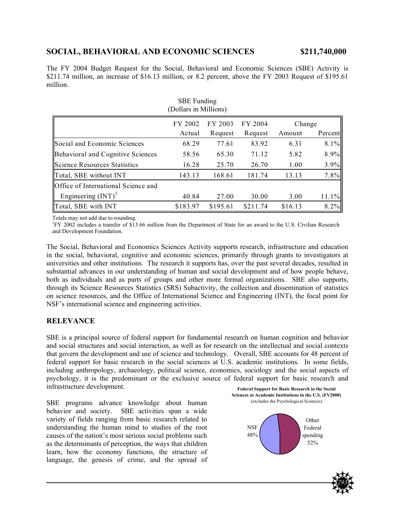# **SOCIAL, BEHAVIORAL AND ECONOMIC SCIENCES \$211,740,000**

The FY 2004 Budget Request for the Social, Behavioral and Economic Sciences (SBE) Activity is \$211.74 million, an increase of \$16.13 million, or 8.2 percent, above the FY 2003 Request of \$195.61 million.

| <b>SBE</b> Funding<br>(Dollars in Millions) |                   |                    |                    |                  |         |
|---------------------------------------------|-------------------|--------------------|--------------------|------------------|---------|
|                                             | FY 2002<br>Actual | FY 2003<br>Request | FY 2004<br>Request | Change<br>Amount | Percent |
| Social and Economic Sciences                | 68.29             | 77.61              | 83.92              | 6.31             | 8.1%    |
| Behavioral and Cognitive Sciences           | 58.56             | 65.30              | 71.12              | 5.82             | 8.9%    |
| Science Resources Statistics                | 16.28             | 25.70              | 26.70              | 1.00             | 3.9%    |
| Total, SBE without INT                      | 143.13            | 168.61             | 181.74             | 13.13            | 7.8%    |
| Office of International Science and         |                   |                    |                    |                  |         |
| Engineering $(INT)^1$                       | 40.84             | 27.00              | 30.00              | 3.00             | 11.1%   |
| Total, SBE with INT                         | \$183.97          | \$195.61           | \$211.74           | \$16.13          | 8.2%    |

Totals may not add due to rounding.

<sup>1</sup>FY 2002 includes a transfer of \$13.66 million from the Department of State for an award to the U.S. Civilian Research and Development Foundation.

The Social, Behavioral and Economics Sciences Activity supports research, infrastructure and education in the social, behavioral, cognitive and economic sciences, primarily through grants to investigators at universities and other institutions. The research it supports has, over the past several decades, resulted in substantial advances in our understanding of human and social development and of how people behave, both as individuals and as parts of groups and other more formal organizations. SBE also supports, through its Science Resources Statistics (SRS) Subactivity, the collection and dissemination of statistics on science resources, and the Office of International Science and Engineering (INT), the focal point for NSF's international science and engineering activities.

## **RELEVANCE**

SBE is a principal source of federal support for fundamental research on human cognition and behavior and social structures and social interaction, as well as for research on the intellectual and social contexts that govern the development and use of science and technology. Overall, SBE accounts for 48 percent of federal support for basic research in the social sciences at U.S. academic institutions. In some fields, including anthropology, archaeology, political science, economics, sociology and the social aspects of psychology, it is the predominant or the exclusive source of federal support for basic research and infrastructure development.

SBE programs advance knowledge about human behavior and society. SBE activities span a wide variety of fields ranging from basic research related to understanding the human mind to studies of the root causes of the nation's most serious social problems such as the determinants of perception, the ways that children learn, how the economy functions, the structure of language, the genesis of crime, and the spread of



*293*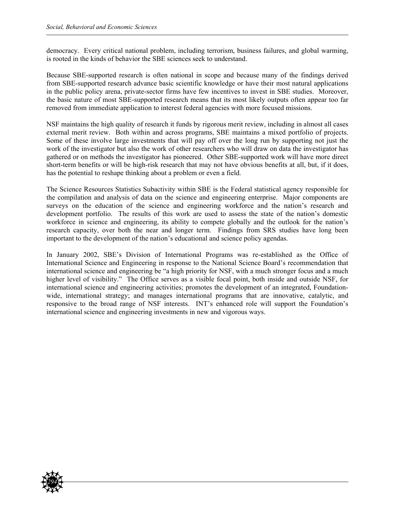democracy. Every critical national problem, including terrorism, business failures, and global warming, is rooted in the kinds of behavior the SBE sciences seek to understand.

Because SBE-supported research is often national in scope and because many of the findings derived from SBE-supported research advance basic scientific knowledge or have their most natural applications in the public policy arena, private-sector firms have few incentives to invest in SBE studies. Moreover, the basic nature of most SBE-supported research means that its most likely outputs often appear too far removed from immediate application to interest federal agencies with more focused missions.

NSF maintains the high quality of research it funds by rigorous merit review, including in almost all cases external merit review. Both within and across programs, SBE maintains a mixed portfolio of projects. Some of these involve large investments that will pay off over the long run by supporting not just the work of the investigator but also the work of other researchers who will draw on data the investigator has gathered or on methods the investigator has pioneered. Other SBE-supported work will have more direct short-term benefits or will be high-risk research that may not have obvious benefits at all, but, if it does, has the potential to reshape thinking about a problem or even a field.

The Science Resources Statistics Subactivity within SBE is the Federal statistical agency responsible for the compilation and analysis of data on the science and engineering enterprise. Major components are surveys on the education of the science and engineering workforce and the nation's research and development portfolio. The results of this work are used to assess the state of the nation's domestic workforce in science and engineering, its ability to compete globally and the outlook for the nation's research capacity, over both the near and longer term. Findings from SRS studies have long been important to the development of the nation's educational and science policy agendas.

In January 2002, SBE's Division of International Programs was re-established as the Office of International Science and Engineering in response to the National Science Board's recommendation that international science and engineering be "a high priority for NSF, with a much stronger focus and a much higher level of visibility." The Office serves as a visible focal point, both inside and outside NSF, for international science and engineering activities; promotes the development of an integrated, Foundationwide, international strategy; and manages international programs that are innovative, catalytic, and responsive to the broad range of NSF interests. INT's enhanced role will support the Foundation's international science and engineering investments in new and vigorous ways.

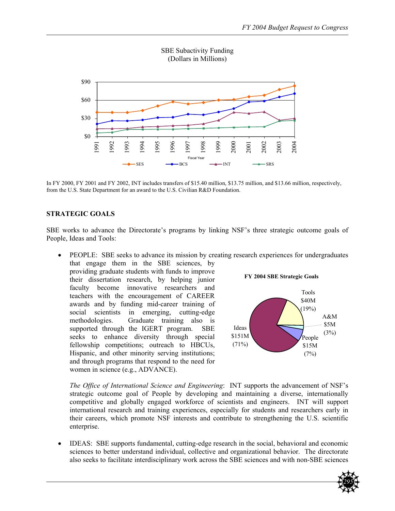

SBE Subactivity Funding (Dollars in Millions)

In FY 2000, FY 2001 and FY 2002, INT includes transfers of \$15.40 million, \$13.75 million, and \$13.66 million, respectively, from the U.S. State Department for an award to the U.S. Civilian R&D Foundation.

### **STRATEGIC GOALS**

SBE works to advance the Directorate's programs by linking NSF's three strategic outcome goals of People, Ideas and Tools:

• PEOPLE: SBE seeks to advance its mission by creating research experiences for undergraduates

that engage them in the SBE sciences, by providing graduate students with funds to improve their dissertation research, by helping junior faculty become innovative researchers and teachers with the encouragement of CAREER awards and by funding mid-career training of social scientists in emerging, cutting-edge methodologies. Graduate training also is supported through the IGERT program. SBE seeks to enhance diversity through special fellowship competitions; outreach to HBCUs, Hispanic, and other minority serving institutions; and through programs that respond to the need for women in science (e.g., ADVANCE).





*The Office of International Science and Engineering*: INT supports the advancement of NSF's strategic outcome goal of People by developing and maintaining a diverse, internationally competitive and globally engaged workforce of scientists and engineers. INT will support international research and training experiences, especially for students and researchers early in their careers, which promote NSF interests and contribute to strengthening the U.S. scientific enterprise.

• IDEAS: SBE supports fundamental, cutting-edge research in the social, behavioral and economic sciences to better understand individual, collective and organizational behavior. The directorate also seeks to facilitate interdisciplinary work across the SBE sciences and with non-SBE sciences

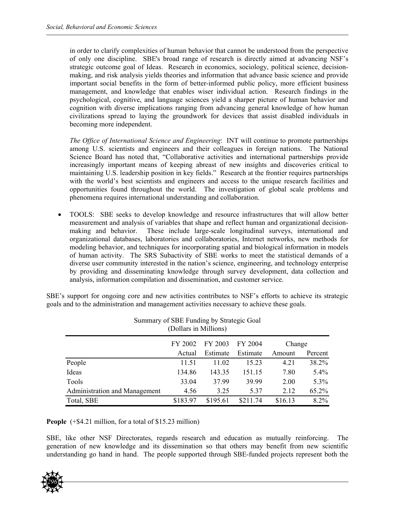in order to clarify complexities of human behavior that cannot be understood from the perspective of only one discipline. SBE's broad range of research is directly aimed at advancing NSF's strategic outcome goal of Ideas. Research in economics, sociology, political science, decisionmaking, and risk analysis yields theories and information that advance basic science and provide important social benefits in the form of better-informed public policy, more efficient business management, and knowledge that enables wiser individual action. Research findings in the psychological, cognitive, and language sciences yield a sharper picture of human behavior and cognition with diverse implications ranging from advancing general knowledge of how human civilizations spread to laying the groundwork for devices that assist disabled individuals in becoming more independent.

*The Office of International Science and Engineering*: INT will continue to promote partnerships among U.S. scientists and engineers and their colleagues in foreign nations. The National Science Board has noted that, "Collaborative activities and international partnerships provide increasingly important means of keeping abreast of new insights and discoveries critical to maintaining U.S. leadership position in key fields." Research at the frontier requires partnerships with the world's best scientists and engineers and access to the unique research facilities and opportunities found throughout the world. The investigation of global scale problems and phenomena requires international understanding and collaboration.

• TOOLS: SBE seeks to develop knowledge and resource infrastructures that will allow better measurement and analysis of variables that shape and reflect human and organizational decisionmaking and behavior. These include large-scale longitudinal surveys, international and organizational databases, laboratories and collaboratories, Internet networks, new methods for modeling behavior, and techniques for incorporating spatial and biological information in models of human activity. The SRS Subactivity of SBE works to meet the statistical demands of a diverse user community interested in the nation's science, engineering, and technology enterprise by providing and disseminating knowledge through survey development, data collection and analysis, information compilation and dissemination, and customer service.

SBE's support for ongoing core and new activities contributes to NSF's efforts to achieve its strategic goals and to the administration and management activities necessary to achieve these goals.

| (Dollars in Millions)         |                               |          |          |         |         |  |
|-------------------------------|-------------------------------|----------|----------|---------|---------|--|
|                               | FY 2003<br>FY 2004<br>FY 2002 |          |          | Change  |         |  |
|                               | Actual                        | Estimate | Estimate | Amount  | Percent |  |
| People                        | 11.51                         | 11.02    | 15.23    | 4.21    | 38.2%   |  |
| Ideas                         | 134.86                        | 143.35   | 151.15   | 7.80    | 5.4%    |  |
| Tools                         | 33.04                         | 37.99    | 39.99    | 2.00    | $5.3\%$ |  |
| Administration and Management | 4.56                          | 3.25     | 5.37     | 2.12    | 65.2%   |  |
| Total, SBE                    | \$183.97                      | \$195.61 | \$211.74 | \$16.13 | $8.2\%$ |  |

Summary of SBE Funding by Strategic Goal (Dollars in Millions)

**People** (+\$4.21 million, for a total of \$15.23 million)

SBE, like other NSF Directorates, regards research and education as mutually reinforcing. The generation of new knowledge and its dissemination so that others may benefit from new scientific understanding go hand in hand. The people supported through SBE-funded projects represent both the

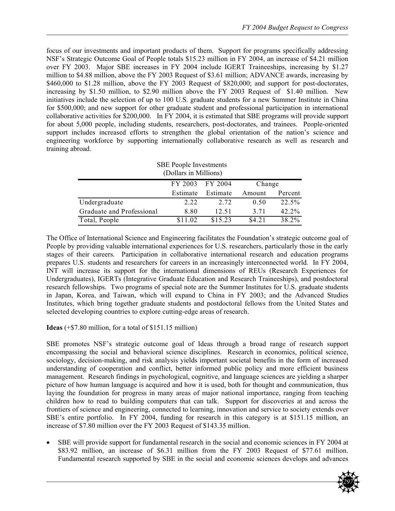focus of our investments and important products of them. Support for programs specifically addressing NSF's Strategic Outcome Goal of People totals \$15.23 million in FY 2004, an increase of \$4.21 million over FY 2003. Major SBE increases in FY 2004 include IGERT Traineeships, increasing by \$1.27 million to \$4.88 million, above the FY 2003 Request of \$3.61 million; ADVANCE awards, increasing by \$460,000 to \$1.28 million, above the FY 2003 Request of \$820,000; and support for post-doctorates, increasing by \$1.50 million, to \$2.90 million above the FY 2003 Request of \$1.40 million. New initiatives include the selection of up to 100 U.S. graduate students for a new Summer Institute in China for \$500,000; and new support for other graduate student and professional participation in international collaborative activities for \$200,000. In FY 2004, it is estimated that SBE programs will provide support for about 5,000 people, including students, researchers, post-doctorates, and trainees. People-oriented support includes increased efforts to strengthen the global orientation of the nation's science and engineering workforce by supporting internationally collaborative research as well as research and training abroad.

| <b>SBE</b> People Investments<br>(Dollars in Millions) |          |          |        |          |  |  |
|--------------------------------------------------------|----------|----------|--------|----------|--|--|
|                                                        | FY 2003  | FY 2004  | Change |          |  |  |
|                                                        | Estimate | Estimate | Amount | Percent  |  |  |
| Undergraduate                                          | 2.22     | 2.72     | 0.50   | 22.5%    |  |  |
| Graduate and Professional                              | 8.80     | 12.51    | 3 7 1  | $42.2\%$ |  |  |
| Total, People                                          | \$11.02  | \$15.23  | \$4.21 | 38 2%    |  |  |

The Office of International Science and Engineering facilitates the Foundation's strategic outcome goal of People by providing valuable international experiences for U.S. researchers, particularly those in the early stages of their careers. Participation in collaborative international research and education programs prepares U.S. students and researchers for careers in an increasingly interconnected world. In FY 2004, INT will increase its support for the international dimensions of REUs (Research Experiences for Undergraduates), IGERTs (Integrative Graduate Education and Research Traineeships), and postdoctoral research fellowships. Two programs of special note are the Summer Institutes for U.S. graduate students in Japan, Korea, and Taiwan, which will expand to China in FY 2003; and the Advanced Studies Institutes, which bring together graduate students and postdoctoral fellows from the United States and selected developing countries to explore cutting-edge areas of research.

**Ideas** (+\$7.80 million, for a total of \$151.15 million)

SBE promotes NSF's strategic outcome goal of Ideas through a broad range of research support encompassing the social and behavioral science disciplines. Research in economics, political science, sociology, decision-making, and risk analysis yields important societal benefits in the form of increased understanding of cooperation and conflict, better informed public policy and more efficient business management. Research findings in psychological, cognitive, and language sciences are yielding a sharper picture of how human language is acquired and how it is used, both for thought and communication, thus laying the foundation for progress in many areas of major national importance, ranging from teaching children how to read to building computers that can talk. Support for discoveries at and across the frontiers of science and engineering, connected to learning, innovation and service to society extends over SBE's entire portfolio. In FY 2004, funding for research in this category is at \$151.15 million, an increase of \$7.80 million over the FY 2003 Request of \$143.35 million.

• SBE will provide support for fundamental research in the social and economic sciences in FY 2004 at \$83.92 million, an increase of \$6.31 million from the FY 2003 Request of \$77.61 million. Fundamental research supported by SBE in the social and economic sciences develops and advances

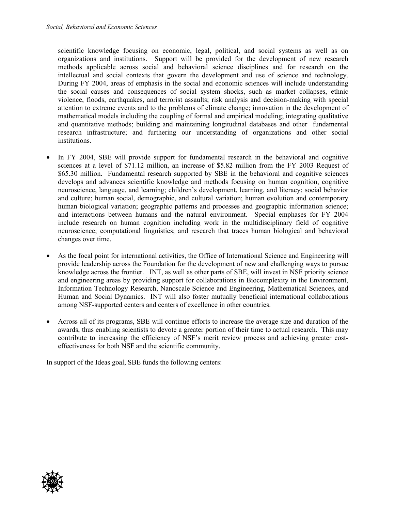scientific knowledge focusing on economic, legal, political, and social systems as well as on organizations and institutions. Support will be provided for the development of new research methods applicable across social and behavioral science disciplines and for research on the intellectual and social contexts that govern the development and use of science and technology. During FY 2004, areas of emphasis in the social and economic sciences will include understanding the social causes and consequences of social system shocks, such as market collapses, ethnic violence, floods, earthquakes, and terrorist assaults; risk analysis and decision-making with special attention to extreme events and to the problems of climate change; innovation in the development of mathematical models including the coupling of formal and empirical modeling; integrating qualitative and quantitative methods; building and maintaining longitudinal databases and other fundamental research infrastructure; and furthering our understanding of organizations and other social institutions.

- In FY 2004, SBE will provide support for fundamental research in the behavioral and cognitive sciences at a level of \$71.12 million, an increase of \$5.82 million from the FY 2003 Request of \$65.30 million. Fundamental research supported by SBE in the behavioral and cognitive sciences develops and advances scientific knowledge and methods focusing on human cognition, cognitive neuroscience, language, and learning; children's development, learning, and literacy; social behavior and culture; human social, demographic, and cultural variation; human evolution and contemporary human biological variation; geographic patterns and processes and geographic information science; and interactions between humans and the natural environment. Special emphases for FY 2004 include research on human cognition including work in the multidisciplinary field of cognitive neuroscience; computational linguistics; and research that traces human biological and behavioral changes over time.
- As the focal point for international activities, the Office of International Science and Engineering will provide leadership across the Foundation for the development of new and challenging ways to pursue knowledge across the frontier. INT, as well as other parts of SBE, will invest in NSF priority science and engineering areas by providing support for collaborations in Biocomplexity in the Environment, Information Technology Research, Nanoscale Science and Engineering, Mathematical Sciences, and Human and Social Dynamics. INT will also foster mutually beneficial international collaborations among NSF-supported centers and centers of excellence in other countries.
- Across all of its programs, SBE will continue efforts to increase the average size and duration of the awards, thus enabling scientists to devote a greater portion of their time to actual research. This may contribute to increasing the efficiency of NSF's merit review process and achieving greater costeffectiveness for both NSF and the scientific community.

In support of the Ideas goal, SBE funds the following centers:

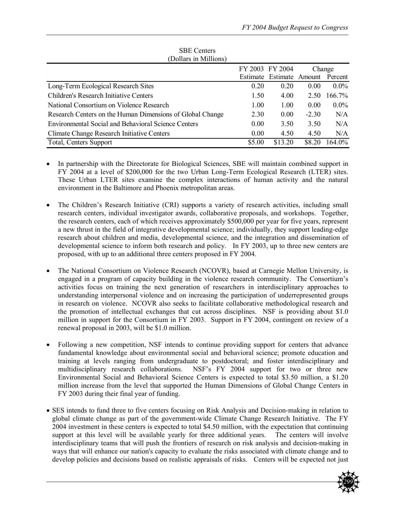| (Dollars in Millions)                                      |        |                          |         |         |  |  |
|------------------------------------------------------------|--------|--------------------------|---------|---------|--|--|
|                                                            |        | FY 2003 FY 2004          |         | Change  |  |  |
|                                                            |        | Estimate Estimate Amount |         | Percent |  |  |
| Long-Term Ecological Research Sites                        | 0.20   | 0.20                     | 0.00    | $0.0\%$ |  |  |
| <b>Children's Research Initiative Centers</b>              | 1.50   | 4.00                     | 2.50    | 166.7%  |  |  |
| National Consortium on Violence Research                   | 1.00   | 1.00                     | 0.00    | $0.0\%$ |  |  |
| Research Centers on the Human Dimensions of Global Change  | 2.30   | 0.00                     | $-2.30$ | N/A     |  |  |
| <b>Environmental Social and Behavioral Science Centers</b> | 0.00   | 3.50                     | 3.50    | N/A     |  |  |
| Climate Change Research Initiative Centers                 | 0.00   | 4.50                     | 4.50    | N/A     |  |  |
| <b>Total, Centers Support</b>                              | \$5.00 | \$13.20                  | \$8.20  | 164.0%  |  |  |

SBE Centers (Dollars in Millions)

- In partnership with the Directorate for Biological Sciences, SBE will maintain combined support in FY 2004 at a level of \$200,000 for the two Urban Long-Term Ecological Research (LTER) sites. These Urban LTER sites examine the complex interactions of human activity and the natural environment in the Baltimore and Phoenix metropolitan areas.
- The Children's Research Initiative (CRI) supports a variety of research activities, including small research centers, individual investigator awards, collaborative proposals, and workshops. Together, the research centers, each of which receives approximately \$500,000 per year for five years, represent a new thrust in the field of integrative developmental science; individually, they support leading-edge research about children and media, developmental science, and the integration and dissemination of developmental science to inform both research and policy. In FY 2003, up to three new centers are proposed, with up to an additional three centers proposed in FY 2004.
- The National Consortium on Violence Research (NCOVR), based at Carnegie Mellon University, is engaged in a program of capacity building in the violence research community. The Consortium's activities focus on training the next generation of researchers in interdisciplinary approaches to understanding interpersonal violence and on increasing the participation of underrepresented groups in research on violence. NCOVR also seeks to facilitate collaborative methodological research and the promotion of intellectual exchanges that cut across disciplines. NSF is providing about \$1.0 million in support for the Consortium in FY 2003. Support in FY 2004, contingent on review of a renewal proposal in 2003, will be \$1.0 million.
- Following a new competition, NSF intends to continue providing support for centers that advance fundamental knowledge about environmental social and behavioral science; promote education and training at levels ranging from undergraduate to postdoctoral; and foster interdisciplinary and multidisciplinary research collaborations. NSF's FY 2004 support for two or three new Environmental Social and Behavioral Science Centers is expected to total \$3.50 million, a \$1.20 million increase from the level that supported the Human Dimensions of Global Change Centers in FY 2003 during their final year of funding.
- SES intends to fund three to five centers focusing on Risk Analysis and Decision-making in relation to global climate change as part of the government-wide Climate Change Research Initiative. The FY 2004 investment in these centers is expected to total \$4.50 million, with the expectation that continuing support at this level will be available yearly for three additional years. The centers will involve interdisciplinary teams that will push the frontiers of research on risk analysis and decision-making in ways that will enhance our nation's capacity to evaluate the risks associated with climate change and to develop policies and decisions based on realistic appraisals of risks. Centers will be expected not just

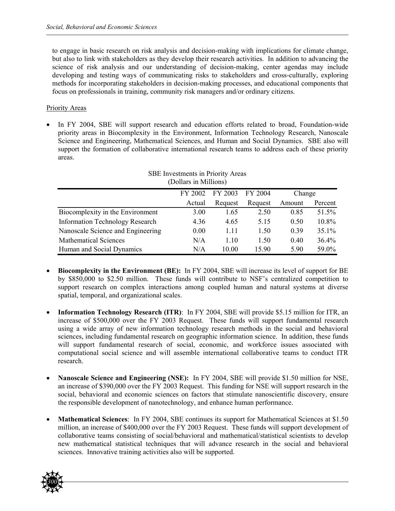to engage in basic research on risk analysis and decision-making with implications for climate change, but also to link with stakeholders as they develop their research activities. In addition to advancing the science of risk analysis and our understanding of decision-making, center agendas may include developing and testing ways of communicating risks to stakeholders and cross-culturally, exploring methods for incorporating stakeholders in decision-making processes, and educational components that focus on professionals in training, community risk managers and/or ordinary citizens.

### Priority Areas

• In FY 2004, SBE will support research and education efforts related to broad, Foundation-wide priority areas in Biocomplexity in the Environment, Information Technology Research, Nanoscale Science and Engineering, Mathematical Sciences, and Human and Social Dynamics. SBE also will support the formation of collaborative international research teams to address each of these priority areas.

| SBE Investments in Priority Areas<br>(Dollars in Millions) |         |         |         |        |         |  |  |
|------------------------------------------------------------|---------|---------|---------|--------|---------|--|--|
|                                                            | FY 2002 | FY 2003 | FY 2004 | Change |         |  |  |
|                                                            | Actual  | Request | Request | Amount | Percent |  |  |
| Biocomplexity in the Environment                           | 3.00    | 1.65    | 2.50    | 0.85   | 51.5%   |  |  |
| <b>Information Technology Research</b>                     | 4.36    | 4.65    | 5.15    | 0.50   | 10.8%   |  |  |
| Nanoscale Science and Engineering                          | 0.00    | 1.11    | 1.50    | 0.39   | 35.1%   |  |  |
| <b>Mathematical Sciences</b>                               | N/A     | 1.10    | 1.50    | 0.40   | 36.4%   |  |  |
| Human and Social Dynamics                                  | N/A     | 10.00   | 15.90   | 5.90   | 59.0%   |  |  |

- **Biocomplexity in the Environment (BE):** In FY 2004, SBE will increase its level of support for BE by \$850,000 to \$2.50 million. These funds will contribute to NSF's centralized competition to support research on complex interactions among coupled human and natural systems at diverse spatial, temporal, and organizational scales.
- **Information Technology Research (ITR)**: In FY 2004, SBE will provide \$5.15 million for ITR, an increase of \$500,000 over the FY 2003 Request. These funds will support fundamental research using a wide array of new information technology research methods in the social and behavioral sciences, including fundamental research on geographic information science. In addition, these funds will support fundamental research of social, economic, and workforce issues associated with computational social science and will assemble international collaborative teams to conduct ITR research.
- **Nanoscale Science and Engineering (NSE):** In FY 2004, SBE will provide \$1.50 million for NSE, an increase of \$390,000 over the FY 2003 Request. This funding for NSE will support research in the social, behavioral and economic sciences on factors that stimulate nanoscientific discovery, ensure the responsible development of nanotechnology, and enhance human performance.
- **Mathematical Sciences**: In FY 2004, SBE continues its support for Mathematical Sciences at \$1.50 million, an increase of \$400,000 over the FY 2003 Request. These funds will support development of collaborative teams consisting of social/behavioral and mathematical/statistical scientists to develop new mathematical statistical techniques that will advance research in the social and behavioral sciences. Innovative training activities also will be supported.

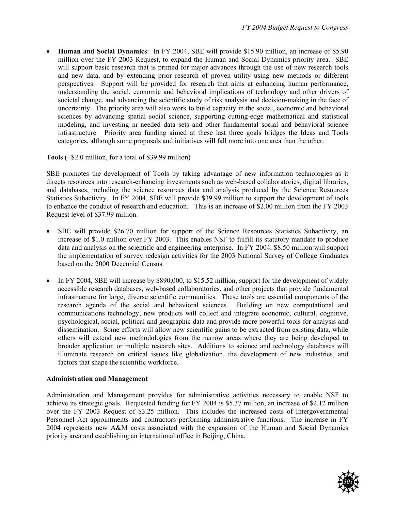• **Human and Social Dynamics**: In FY 2004, SBE will provide \$15.90 million, an increase of \$5.90 million over the FY 2003 Request, to expand the Human and Social Dynamics priority area. SBE will support basic research that is primed for major advances through the use of new research tools and new data, and by extending prior research of proven utility using new methods or different perspectives. Support will be provided for research that aims at enhancing human performance, understanding the social, economic and behavioral implications of technology and other drivers of societal change, and advancing the scientific study of risk analysis and decision-making in the face of uncertainty. The priority area will also work to build capacity in the social, economic and behavioral sciences by advancing spatial social science, supporting cutting-edge mathematical and statistical modeling, and investing in needed data sets and other fundamental social and behavioral science infrastructure. Priority area funding aimed at these last three goals bridges the Ideas and Tools categories, although some proposals and initiatives will fall more into one area than the other.

**Tools** (+\$2.0 million, for a total of \$39.99 million)

SBE promotes the development of Tools by taking advantage of new information technologies as it directs resources into research-enhancing investments such as web-based collaboratories, digital libraries, and databases, including the science resources data and analysis produced by the Science Resources Statistics Subactivity. In FY 2004, SBE will provide \$39.99 million to support the development of tools to enhance the conduct of research and education. This is an increase of \$2.00 million from the FY 2003 Request level of \$37.99 million.

- SBE will provide \$26.70 million for support of the Science Resources Statistics Subactivity, an increase of \$1.0 million over FY 2003. This enables NSF to fulfill its statutory mandate to produce data and analysis on the scientific and engineering enterprise. In FY 2004, \$8.50 million will support the implementation of survey redesign activities for the 2003 National Survey of College Graduates based on the 2000 Decennial Census.
- In FY 2004, SBE will increase by \$890,000, to \$15.52 million, support for the development of widely accessible research databases, web-based collaboratories, and other projects that provide fundamental infrastructure for large, diverse scientific communities. These tools are essential components of the research agenda of the social and behavioral sciences. Building on new computational and communications technology, new products will collect and integrate economic, cultural, cognitive, psychological, social, political and geographic data and provide more powerful tools for analysis and dissemination. Some efforts will allow new scientific gains to be extracted from existing data, while others will extend new methodologies from the narrow areas where they are being developed to broader application or multiple research sites. Additions to science and technology databases will illuminate research on critical issues like globalization, the development of new industries, and factors that shape the scientific workforce.

### **Administration and Management**

Administration and Management provides for administrative activities necessary to enable NSF to achieve its strategic goals. Requested funding for FY 2004 is \$5.37 million, an increase of \$2.12 million over the FY 2003 Request of \$3.25 million. This includes the increased costs of Intergovernmental Personnel Act appointments and contractors performing administrative functions. The increase in FY 2004 represents new A&M costs associated with the expansion of the Human and Social Dynamics priority area and establishing an international office in Beijing, China.

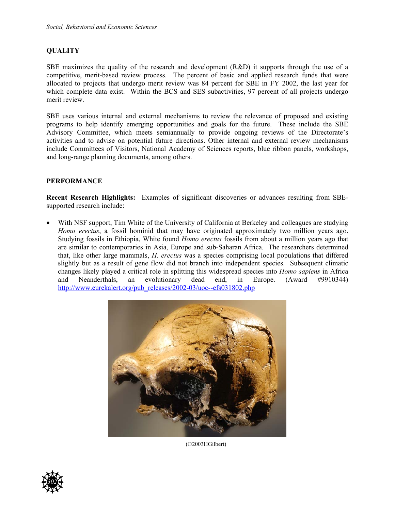### **QUALITY**

SBE maximizes the quality of the research and development (R&D) it supports through the use of a competitive, merit-based review process. The percent of basic and applied research funds that were allocated to projects that undergo merit review was 84 percent for SBE in FY 2002, the last year for which complete data exist. Within the BCS and SES subactivities, 97 percent of all projects undergo merit review.

SBE uses various internal and external mechanisms to review the relevance of proposed and existing programs to help identify emerging opportunities and goals for the future. These include the SBE Advisory Committee, which meets semiannually to provide ongoing reviews of the Directorate's activities and to advise on potential future directions. Other internal and external review mechanisms include Committees of Visitors, National Academy of Sciences reports, blue ribbon panels, workshops, and long-range planning documents, among others.

### **PERFORMANCE**

**Recent Research Highlights:** Examples of significant discoveries or advances resulting from SBEsupported research include:

With NSF support, Tim White of the University of California at Berkeley and colleagues are studying *Homo erectus*, a fossil hominid that may have originated approximately two million years ago. Studying fossils in Ethiopia, White found *Homo erectus* fossils from about a million years ago that are similar to contemporaries in Asia, Europe and sub-Saharan Africa. The researchers determined that, like other large mammals, *H. erectus* was a species comprising local populations that differed slightly but as a result of gene flow did not branch into independent species. Subsequent climatic changes likely played a critical role in splitting this widespread species into *Homo sapiens* in Africa and Neanderthals, an evolutionary dead end, in Europe. (Award #9910344) [http://www.eurekalert.org/pub\\_releases/2002-03/uoc--efs031802.php](http://www.eurekalert.org/pub_releases/2002-03/uoc--efs031802.php)



(©2003HGilbert)

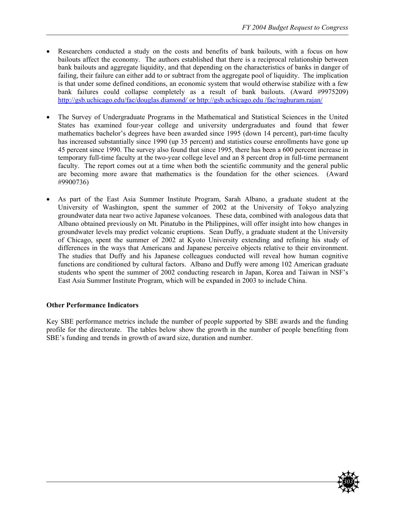- Researchers conducted a study on the costs and benefits of bank bailouts, with a focus on how bailouts affect the economy. The authors established that there is a reciprocal relationship between bank bailouts and aggregate liquidity, and that depending on the characteristics of banks in danger of failing, their failure can either add to or subtract from the aggregate pool of liquidity. The implication is that under some defined conditions, an economic system that would otherwise stabilize with a few bank failures could collapse completely as a result of bank bailouts. (Award #9975209) <http://gsb.uchicago.edu/fac/douglas.diamond/>or <http://gsb.uchicago.edu> /fac/raghuram.rajan/
- The Survey of Undergraduate Programs in the Mathematical and Statistical Sciences in the United States has examined four-year college and university undergraduates and found that fewer mathematics bachelor's degrees have been awarded since 1995 (down 14 percent), part-time faculty has increased substantially since 1990 (up 35 percent) and statistics course enrollments have gone up 45 percent since 1990. The survey also found that since 1995, there has been a 600 percent increase in temporary full-time faculty at the two-year college level and an 8 percent drop in full-time permanent faculty. The report comes out at a time when both the scientific community and the general public are becoming more aware that mathematics is the foundation for the other sciences. (Award #9900736)
- As part of the East Asia Summer Institute Program, Sarah Albano, a graduate student at the University of Washington, spent the summer of 2002 at the University of Tokyo analyzing groundwater data near two active Japanese volcanoes. These data, combined with analogous data that Albano obtained previously on Mt. Pinatubo in the Philippines, will offer insight into how changes in groundwater levels may predict volcanic eruptions. Sean Duffy, a graduate student at the University of Chicago, spent the summer of 2002 at Kyoto University extending and refining his study of differences in the ways that Americans and Japanese perceive objects relative to their environment. The studies that Duffy and his Japanese colleagues conducted will reveal how human cognitive functions are conditioned by cultural factors. Albano and Duffy were among 102 American graduate students who spent the summer of 2002 conducting research in Japan, Korea and Taiwan in NSF's East Asia Summer Institute Program, which will be expanded in 2003 to include China.

### **Other Performance Indicators**

Key SBE performance metrics include the number of people supported by SBE awards and the funding profile for the directorate. The tables below show the growth in the number of people benefiting from SBE's funding and trends in growth of award size, duration and number.

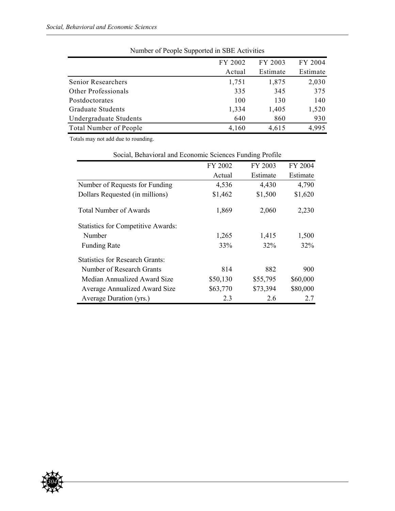| . .     |          |          |
|---------|----------|----------|
| FY 2002 | FY 2003  | FY 2004  |
| Actual  | Estimate | Estimate |
| 1,751   | 1,875    | 2,030    |
| 335     | 345      | 375      |
| 100     | 130      | 140      |
| 1,334   | 1,405    | 1,520    |
| 640     | 860      | 930      |
| 4,160   | 4,615    | 4,995    |
|         |          |          |

| Number of People Supported in SBE Activities |  |  |  |
|----------------------------------------------|--|--|--|
|----------------------------------------------|--|--|--|

Totals may not add due to rounding.

|                                           | FY 2002  | FY 2003  | FY 2004  |
|-------------------------------------------|----------|----------|----------|
|                                           | Actual   | Estimate | Estimate |
| Number of Requests for Funding            | 4,536    | 4,430    | 4,790    |
| Dollars Requested (in millions)           | \$1,462  | \$1,500  | \$1,620  |
| <b>Total Number of Awards</b>             | 1,869    | 2,060    | 2,230    |
| <b>Statistics for Competitive Awards:</b> |          |          |          |
| Number                                    | 1,265    | 1,415    | 1,500    |
| <b>Funding Rate</b>                       | 33%      | 32%      | 32%      |
| <b>Statistics for Research Grants:</b>    |          |          |          |
| Number of Research Grants                 | 814      | 882      | 900      |
| Median Annualized Award Size              | \$50,130 | \$55,795 | \$60,000 |
| <b>Average Annualized Award Size</b>      | \$63,770 | \$73,394 | \$80,000 |
| Average Duration (yrs.)                   | 2.3      | 2.6      | 2.7      |

# Social, Behavioral and Economic Sciences Funding Profile

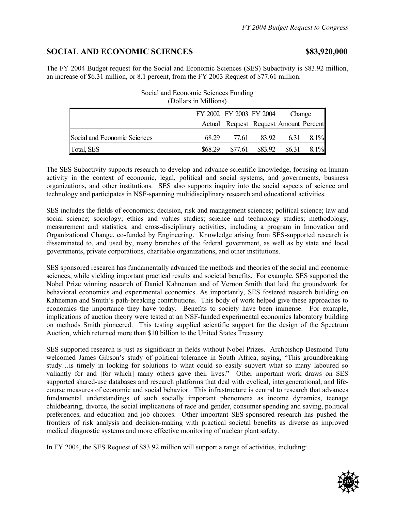# **SOCIAL AND ECONOMIC SCIENCES \$83,920,000**

The FY 2004 Budget request for the Social and Economic Sciences (SES) Subactivity is \$83.92 million, an increase of \$6.31 million, or 8.1 percent, from the FY 2003 Request of \$77.61 million.

|                              |         | FY 2002 FY 2003 FY 2004               |                  | Change |         |
|------------------------------|---------|---------------------------------------|------------------|--------|---------|
|                              |         | Actual Request Request Amount Percent |                  |        |         |
| Social and Economic Sciences | 68.29   |                                       | 77.61 83.92 6.31 |        | $8.1\%$ |
| Total, SES                   | \$68.29 | \$77.61                               | \$83.92          | \$6.31 | $8.1\%$ |

Social and Economic Sciences Funding (Dollars in Millions)

The SES Subactivity supports research to develop and advance scientific knowledge, focusing on human activity in the context of economic, legal, political and social systems, and governments, business organizations, and other institutions. SES also supports inquiry into the social aspects of science and technology and participates in NSF-spanning multidisciplinary research and educational activities.

SES includes the fields of economics; decision, risk and management sciences; political science; law and social science; sociology; ethics and values studies; science and technology studies; methodology, measurement and statistics, and cross-disciplinary activities, including a program in Innovation and Organizational Change, co-funded by Engineering. Knowledge arising from SES-supported research is disseminated to, and used by, many branches of the federal government, as well as by state and local governments, private corporations, charitable organizations, and other institutions.

SES sponsored research has fundamentally advanced the methods and theories of the social and economic sciences, while yielding important practical results and societal benefits. For example, SES supported the Nobel Prize winning research of Daniel Kahneman and of Vernon Smith that laid the groundwork for behavioral economics and experimental economics. As importantly, SES fostered research building on Kahneman and Smith's path-breaking contributions. This body of work helped give these approaches to economics the importance they have today. Benefits to society have been immense. For example, implications of auction theory were tested at an NSF-funded experimental economics laboratory building on methods Smith pioneered. This testing supplied scientific support for the design of the Spectrum Auction, which returned more than \$10 billion to the United States Treasury.

SES supported research is just as significant in fields without Nobel Prizes. Archbishop Desmond Tutu welcomed James Gibson's study of political tolerance in South Africa, saying, "This groundbreaking study…is timely in looking for solutions to what could so easily subvert what so many laboured so valiantly for and [for which] many others gave their lives." Other important work draws on SES supported shared-use databases and research platforms that deal with cyclical, intergenerational, and lifecourse measures of economic and social behavior. This infrastructure is central to research that advances fundamental understandings of such socially important phenomena as income dynamics, teenage childbearing, divorce, the social implications of race and gender, consumer spending and saving, political preferences, and education and job choices. Other important SES-sponsored research has pushed the frontiers of risk analysis and decision-making with practical societal benefits as diverse as improved medical diagnostic systems and more effective monitoring of nuclear plant safety.

In FY 2004, the SES Request of \$83.92 million will support a range of activities, including:

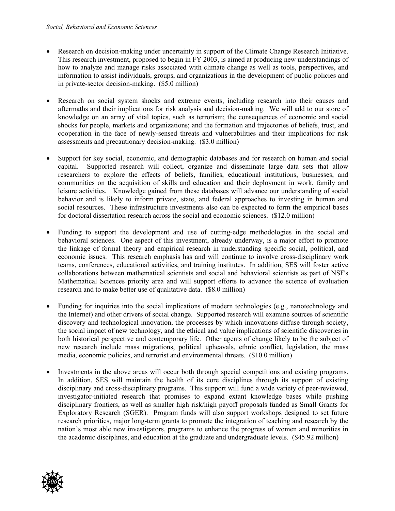- Research on decision-making under uncertainty in support of the Climate Change Research Initiative. This research investment, proposed to begin in FY 2003, is aimed at producing new understandings of how to analyze and manage risks associated with climate change as well as tools, perspectives, and information to assist individuals, groups, and organizations in the development of public policies and in private-sector decision-making. (\$5.0 million)
- Research on social system shocks and extreme events, including research into their causes and aftermaths and their implications for risk analysis and decision-making. We will add to our store of knowledge on an array of vital topics, such as terrorism; the consequences of economic and social shocks for people, markets and organizations; and the formation and trajectories of beliefs, trust, and cooperation in the face of newly-sensed threats and vulnerabilities and their implications for risk assessments and precautionary decision-making. (\$3.0 million)
- Support for key social, economic, and demographic databases and for research on human and social capital. Supported research will collect, organize and disseminate large data sets that allow researchers to explore the effects of beliefs, families, educational institutions, businesses, and communities on the acquisition of skills and education and their deployment in work, family and leisure activities. Knowledge gained from these databases will advance our understanding of social behavior and is likely to inform private, state, and federal approaches to investing in human and social resources. These infrastructure investments also can be expected to form the empirical bases for doctoral dissertation research across the social and economic sciences. (\$12.0 million)
- Funding to support the development and use of cutting-edge methodologies in the social and behavioral sciences. One aspect of this investment, already underway, is a major effort to promote the linkage of formal theory and empirical research in understanding specific social, political, and economic issues. This research emphasis has and will continue to involve cross-disciplinary work teams, conferences, educational activities, and training institutes. In addition, SES will foster active collaborations between mathematical scientists and social and behavioral scientists as part of NSF's Mathematical Sciences priority area and will support efforts to advance the science of evaluation research and to make better use of qualitative data. (\$8.0 million)
- Funding for inquiries into the social implications of modern technologies (e.g., nanotechnology and the Internet) and other drivers of social change. Supported research will examine sources of scientific discovery and technological innovation, the processes by which innovations diffuse through society, the social impact of new technology, and the ethical and value implications of scientific discoveries in both historical perspective and contemporary life. Other agents of change likely to be the subject of new research include mass migrations, political upheavals, ethnic conflict, legislation, the mass media, economic policies, and terrorist and environmental threats. (\$10.0 million)
- Investments in the above areas will occur both through special competitions and existing programs. In addition, SES will maintain the health of its core disciplines through its support of existing disciplinary and cross-disciplinary programs. This support will fund a wide variety of peer-reviewed, investigator-initiated research that promises to expand extant knowledge bases while pushing disciplinary frontiers, as well as smaller high risk/high payoff proposals funded as Small Grants for Exploratory Research (SGER). Program funds will also support workshops designed to set future research priorities, major long-term grants to promote the integration of teaching and research by the nation's most able new investigators, programs to enhance the progress of women and minorities in the academic disciplines, and education at the graduate and undergraduate levels. (\$45.92 million)

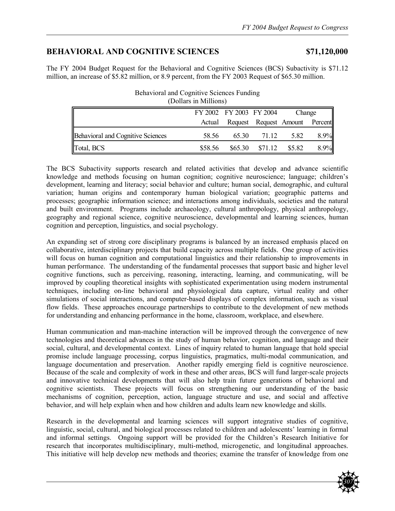# **BEHAVIORAL AND COGNITIVE SCIENCES \$71,120,000**

The FY 2004 Budget Request for the Behavioral and Cognitive Sciences (BCS) Subactivity is \$71.12 million, an increase of \$5.82 million, or 8.9 percent, from the FY 2003 Request of \$65.30 million.

Behavioral and Cognitive Sciences Funding

| (Dollars in Millions)                    |         |                         |                                |        |      |
|------------------------------------------|---------|-------------------------|--------------------------------|--------|------|
|                                          |         | FY 2002 FY 2003 FY 2004 |                                | Change |      |
|                                          | Actual  |                         | Request Request Amount Percent |        |      |
| <b>Behavioral and Cognitive Sciences</b> | 58.56   | 65.30                   | 71.12                          | 5.82   | 8.9% |
| Total, BCS                               | \$58.56 | \$65.30                 | \$71.12                        | \$5.82 | 8.9% |

The BCS Subactivity supports research and related activities that develop and advance scientific knowledge and methods focusing on human cognition; cognitive neuroscience; language; children's development, learning and literacy; social behavior and culture; human social, demographic, and cultural variation; human origins and contemporary human biological variation; geographic patterns and processes; geographic information science; and interactions among individuals, societies and the natural and built environment. Programs include archaeology, cultural anthropology, physical anthropology, geography and regional science, cognitive neuroscience, developmental and learning sciences, human cognition and perception, linguistics, and social psychology.

An expanding set of strong core disciplinary programs is balanced by an increased emphasis placed on collaborative, interdisciplinary projects that build capacity across multiple fields. One group of activities will focus on human cognition and computational linguistics and their relationship to improvements in human performance. The understanding of the fundamental processes that support basic and higher level cognitive functions, such as perceiving, reasoning, interacting, learning, and communicating, will be improved by coupling theoretical insights with sophisticated experimentation using modern instrumental techniques, including on-line behavioral and physiological data capture, virtual reality and other simulations of social interactions, and computer-based displays of complex information, such as visual flow fields. These approaches encourage partnerships to contribute to the development of new methods for understanding and enhancing performance in the home, classroom, workplace, and elsewhere.

Human communication and man-machine interaction will be improved through the convergence of new technologies and theoretical advances in the study of human behavior, cognition, and language and their social, cultural, and developmental context. Lines of inquiry related to human language that hold special promise include language processing, corpus linguistics, pragmatics, multi-modal communication, and language documentation and preservation. Another rapidly emerging field is cognitive neuroscience. Because of the scale and complexity of work in these and other areas, BCS will fund larger-scale projects and innovative technical developments that will also help train future generations of behavioral and cognitive scientists. These projects will focus on strengthening our understanding of the basic mechanisms of cognition, perception, action, language structure and use, and social and affective behavior, and will help explain when and how children and adults learn new knowledge and skills.

Research in the developmental and learning sciences will support integrative studies of cognitive, linguistic, social, cultural, and biological processes related to children and adolescents' learning in formal and informal settings. Ongoing support will be provided for the Children's Research Initiative for research that incorporates multidisciplinary, multi-method, microgenetic, and longitudinal approaches. This initiative will help develop new methods and theories; examine the transfer of knowledge from one

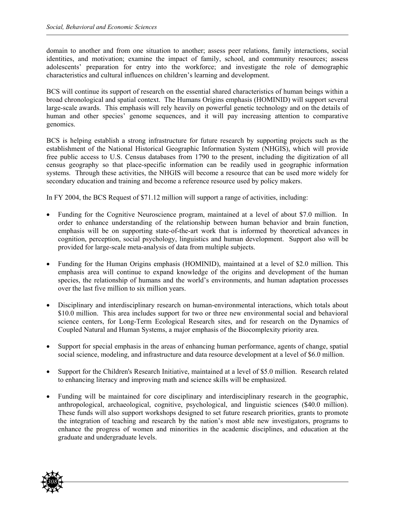domain to another and from one situation to another; assess peer relations, family interactions, social identities, and motivation; examine the impact of family, school, and community resources; assess adolescents' preparation for entry into the workforce; and investigate the role of demographic characteristics and cultural influences on children's learning and development.

BCS will continue its support of research on the essential shared characteristics of human beings within a broad chronological and spatial context. The Humans Origins emphasis (HOMINID) will support several large-scale awards. This emphasis will rely heavily on powerful genetic technology and on the details of human and other species' genome sequences, and it will pay increasing attention to comparative genomics.

BCS is helping establish a strong infrastructure for future research by supporting projects such as the establishment of the National Historical Geographic Information System (NHGIS), which will provide free public access to U.S. Census databases from 1790 to the present, including the digitization of all census geography so that place-specific information can be readily used in geographic information systems. Through these activities, the NHGIS will become a resource that can be used more widely for secondary education and training and become a reference resource used by policy makers.

In FY 2004, the BCS Request of \$71.12 million will support a range of activities, including:

- Funding for the Cognitive Neuroscience program, maintained at a level of about \$7.0 million. In order to enhance understanding of the relationship between human behavior and brain function, emphasis will be on supporting state-of-the-art work that is informed by theoretical advances in cognition, perception, social psychology, linguistics and human development. Support also will be provided for large-scale meta-analysis of data from multiple subjects.
- Funding for the Human Origins emphasis (HOMINID), maintained at a level of \$2.0 million. This emphasis area will continue to expand knowledge of the origins and development of the human species, the relationship of humans and the world's environments, and human adaptation processes over the last five million to six million years.
- Disciplinary and interdisciplinary research on human-environmental interactions, which totals about \$10.0 million. This area includes support for two or three new environmental social and behavioral science centers, for Long-Term Ecological Research sites, and for research on the Dynamics of Coupled Natural and Human Systems, a major emphasis of the Biocomplexity priority area.
- Support for special emphasis in the areas of enhancing human performance, agents of change, spatial social science, modeling, and infrastructure and data resource development at a level of \$6.0 million.
- Support for the Children's Research Initiative, maintained at a level of \$5.0 million. Research related to enhancing literacy and improving math and science skills will be emphasized.
- Funding will be maintained for core disciplinary and interdisciplinary research in the geographic, anthropological, archaeological, cognitive, psychological, and linguistic sciences (\$40.0 million). These funds will also support workshops designed to set future research priorities, grants to promote the integration of teaching and research by the nation's most able new investigators, programs to enhance the progress of women and minorities in the academic disciplines, and education at the graduate and undergraduate levels.

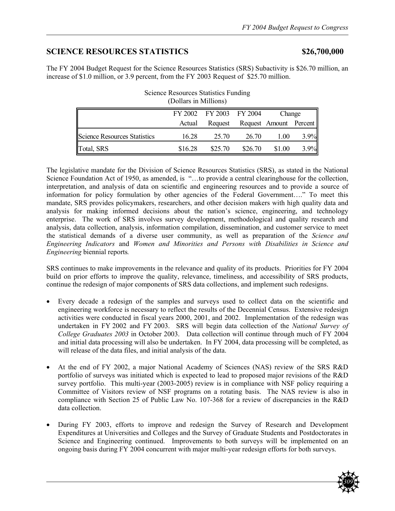# **SCIENCE RESOURCES STATISTICS \$26,700,000**

The FY 2004 Budget Request for the Science Resources Statistics (SRS) Subactivity is \$26.70 million, an increase of \$1.0 million, or 3.9 percent, from the FY 2003 Request of \$25.70 million.

| (DOITALS III MITHOUS)        |         |                         |         |                        |      |  |  |
|------------------------------|---------|-------------------------|---------|------------------------|------|--|--|
|                              |         | FY 2002 FY 2003 FY 2004 |         | Change                 |      |  |  |
|                              | Actual  | Request                 |         | Request Amount Percent |      |  |  |
| Science Resources Statistics | 16.28   | 25.70                   | 26.70   | 1.00                   | 3.9% |  |  |
| Total, SRS                   | \$16.28 | \$25.70                 | \$26.70 | \$1.00                 | 3.9% |  |  |

| <b>Science Resources Statistics Funding</b> |  |
|---------------------------------------------|--|
| (Dollars in Millions)                       |  |

The legislative mandate for the Division of Science Resources Statistics (SRS), as stated in the National Science Foundation Act of 1950, as amended, is "…to provide a central clearinghouse for the collection, interpretation, and analysis of data on scientific and engineering resources and to provide a source of information for policy formulation by other agencies of the Federal Government…." To meet this mandate, SRS provides policymakers, researchers, and other decision makers with high quality data and analysis for making informed decisions about the nation's science, engineering, and technology enterprise. The work of SRS involves survey development, methodological and quality research and analysis, data collection, analysis, information compilation, dissemination, and customer service to meet the statistical demands of a diverse user community, as well as preparation of the *Science and Engineering Indicators* and *Women and Minorities and Persons with Disabilities in Science and Engineering* biennial reports*.* 

SRS continues to make improvements in the relevance and quality of its products. Priorities for FY 2004 build on prior efforts to improve the quality, relevance, timeliness, and accessibility of SRS products, continue the redesign of major components of SRS data collections, and implement such redesigns.

- Every decade a redesign of the samples and surveys used to collect data on the scientific and engineering workforce is necessary to reflect the results of the Decennial Census. Extensive redesign activities were conducted in fiscal years 2000, 2001, and 2002. Implementation of the redesign was undertaken in FY 2002 and FY 2003. SRS will begin data collection of the *National Survey of College Graduates 2003* in October 2003. Data collection will continue through much of FY 2004 and initial data processing will also be undertaken. In FY 2004, data processing will be completed, as will release of the data files, and initial analysis of the data.
- At the end of FY 2002, a major National Academy of Sciences (NAS) review of the SRS R&D portfolio of surveys was initiated which is expected to lead to proposed major revisions of the R&D survey portfolio. This multi-year (2003-2005) review is in compliance with NSF policy requiring a Committee of Visitors review of NSF programs on a rotating basis. The NAS review is also in compliance with Section 25 of Public Law No. 107-368 for a review of discrepancies in the R&D data collection.
- During FY 2003, efforts to improve and redesign the Survey of Research and Development Expenditures at Universities and Colleges and the Survey of Graduate Students and Postdoctorates in Science and Engineering continued. Improvements to both surveys will be implemented on an ongoing basis during FY 2004 concurrent with major multi-year redesign efforts for both surveys.

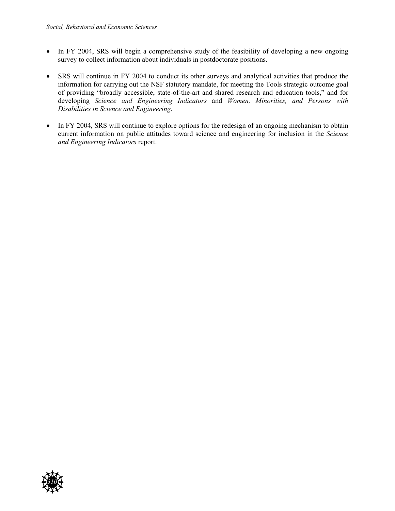- In FY 2004, SRS will begin a comprehensive study of the feasibility of developing a new ongoing survey to collect information about individuals in postdoctorate positions.
- SRS will continue in FY 2004 to conduct its other surveys and analytical activities that produce the information for carrying out the NSF statutory mandate, for meeting the Tools strategic outcome goal of providing "broadly accessible, state-of-the-art and shared research and education tools," and for developing *Science and Engineering Indicators* and *Women, Minorities, and Persons with Disabilities in Science and Engineering*.
- In FY 2004, SRS will continue to explore options for the redesign of an ongoing mechanism to obtain current information on public attitudes toward science and engineering for inclusion in the *Science and Engineering Indicators* report.

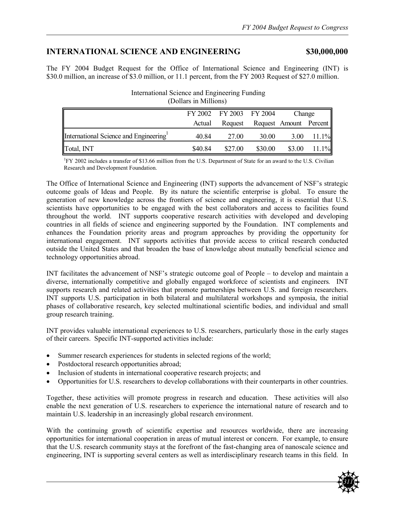# **INTERNATIONAL SCIENCE AND ENGINEERING \$30,000,000**

The FY 2004 Budget Request for the Office of International Science and Engineering (INT) is \$30.0 million, an increase of \$3.0 million, or 11.1 percent, from the FY 2003 Request of \$27.0 million.

| (DUNAIS III MHINIUIS)                 |         |                         |                        |        |                 |
|---------------------------------------|---------|-------------------------|------------------------|--------|-----------------|
|                                       |         | FY 2002 FY 2003 FY 2004 |                        | Change |                 |
|                                       | Actual  | Request                 | Request Amount Percent |        |                 |
| International Science and Engineering | 40.84   | 27.00                   | 30.00                  |        | $3.00$ $11.1\%$ |
| Total, INT                            | \$40.84 | \$27.00                 | \$30.00                | \$3.00 | 11.1%           |

# International Science and Engineering Funding (Dollars in Millions)

<sup>1</sup>FY 2002 includes a transfer of \$13.66 million from the U.S. Department of State for an award to the U.S. Civilian Research and Development Foundation.

The Office of International Science and Engineering (INT) supports the advancement of NSF's strategic outcome goals of Ideas and People. By its nature the scientific enterprise is global. To ensure the generation of new knowledge across the frontiers of science and engineering, it is essential that U.S. scientists have opportunities to be engaged with the best collaborators and access to facilities found throughout the world. INT supports cooperative research activities with developed and developing countries in all fields of science and engineering supported by the Foundation. INT complements and enhances the Foundation priority areas and program approaches by providing the opportunity for international engagement. INT supports activities that provide access to critical research conducted outside the United States and that broaden the base of knowledge about mutually beneficial science and technology opportunities abroad.

INT facilitates the advancement of NSF's strategic outcome goal of People *–* to develop and maintain a diverse, internationally competitive and globally engaged workforce of scientists and engineers*.* INT supports research and related activities that promote partnerships between U.S. and foreign researchers. INT supports U.S. participation in both bilateral and multilateral workshops and symposia, the initial phases of collaborative research, key selected multinational scientific bodies, and individual and small group research training.

INT provides valuable international experiences to U.S. researchers, particularly those in the early stages of their careers. Specific INT-supported activities include:

- Summer research experiences for students in selected regions of the world;
- Postdoctoral research opportunities abroad;
- Inclusion of students in international cooperative research projects; and
- Opportunities for U.S. researchers to develop collaborations with their counterparts in other countries.

Together, these activities will promote progress in research and education. These activities will also enable the next generation of U.S. researchers to experience the international nature of research and to maintain U.S. leadership in an increasingly global research environment.

With the continuing growth of scientific expertise and resources worldwide, there are increasing opportunities for international cooperation in areas of mutual interest or concern. For example, to ensure that the U.S. research community stays at the forefront of the fast-changing area of nanoscale science and engineering, INT is supporting several centers as well as interdisciplinary research teams in this field. In